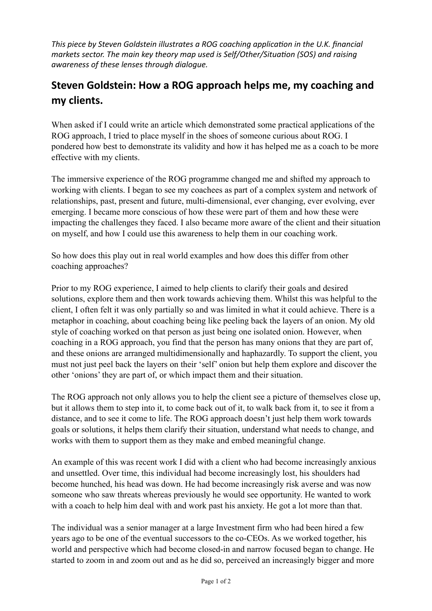*This piece by Steven Goldstein illustrates a ROG coaching application in the U.K. financial markets sector. The main key theory map used is Self/Other/Situation (SOS) and raising awareness of these lenses through dialogue.*

## **Steven Goldstein: How a ROG approach helps me, my coaching and my clients.**

When asked if I could write an article which demonstrated some practical applications of the ROG approach, I tried to place myself in the shoes of someone curious about ROG. I pondered how best to demonstrate its validity and how it has helped me as a coach to be more effective with my clients.

The immersive experience of the ROG programme changed me and shifted my approach to working with clients. I began to see my coachees as part of a complex system and network of relationships, past, present and future, multi-dimensional, ever changing, ever evolving, ever emerging. I became more conscious of how these were part of them and how these were impacting the challenges they faced. I also became more aware of the client and their situation on myself, and how I could use this awareness to help them in our coaching work.

So how does this play out in real world examples and how does this differ from other coaching approaches?

Prior to my ROG experience, I aimed to help clients to clarify their goals and desired solutions, explore them and then work towards achieving them. Whilst this was helpful to the client, I often felt it was only partially so and was limited in what it could achieve. There is a metaphor in coaching, about coaching being like peeling back the layers of an onion. My old style of coaching worked on that person as just being one isolated onion. However, when coaching in a ROG approach, you find that the person has many onions that they are part of, and these onions are arranged multidimensionally and haphazardly. To support the client, you must not just peel back the layers on their 'self' onion but help them explore and discover the other 'onions' they are part of, or which impact them and their situation.

The ROG approach not only allows you to help the client see a picture of themselves close up, but it allows them to step into it, to come back out of it, to walk back from it, to see it from a distance, and to see it come to life. The ROG approach doesn't just help them work towards goals or solutions, it helps them clarify their situation, understand what needs to change, and works with them to support them as they make and embed meaningful change.

An example of this was recent work I did with a client who had become increasingly anxious and unsettled. Over time, this individual had become increasingly lost, his shoulders had become hunched, his head was down. He had become increasingly risk averse and was now someone who saw threats whereas previously he would see opportunity. He wanted to work with a coach to help him deal with and work past his anxiety. He got a lot more than that.

The individual was a senior manager at a large Investment firm who had been hired a few years ago to be one of the eventual successors to the co-CEOs. As we worked together, his world and perspective which had become closed-in and narrow focused began to change. He started to zoom in and zoom out and as he did so, perceived an increasingly bigger and more